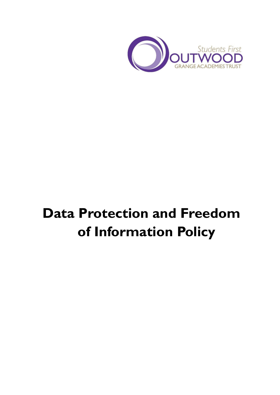

# **Data Protection and Freedom of Information Policy**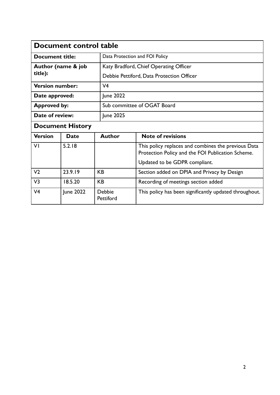| Document control table        |           |                     |                                                                                                          |  |  |
|-------------------------------|-----------|---------------------|----------------------------------------------------------------------------------------------------------|--|--|
| <b>Document title:</b>        |           |                     | Data Protection and FOI Policy                                                                           |  |  |
| Author (name & job<br>title): |           |                     | Katy Bradford, Chief Operating Officer                                                                   |  |  |
|                               |           |                     | Debbie Pettiford, Data Protection Officer                                                                |  |  |
| <b>Version number:</b>        |           | V <sub>4</sub>      |                                                                                                          |  |  |
| Date approved:                |           | June 2022           |                                                                                                          |  |  |
| <b>Approved by:</b>           |           |                     | Sub committee of OGAT Board                                                                              |  |  |
| Date of review:               |           | June 2025           |                                                                                                          |  |  |
| <b>Document History</b>       |           |                     |                                                                                                          |  |  |
| <b>Version</b>                | Date      | <b>Author</b>       | <b>Note of revisions</b>                                                                                 |  |  |
| VI                            | 5.2.18    |                     | This policy replaces and combines the previous Data<br>Protection Policy and the FOI Publication Scheme. |  |  |
|                               |           |                     | Updated to be GDPR compliant.                                                                            |  |  |
| V <sub>2</sub>                | 23.9.19   | <b>KB</b>           | Section added on DPIA and Privacy by Design                                                              |  |  |
| V <sub>3</sub>                | 18.5.20   | <b>KB</b>           | Recording of meetings section added                                                                      |  |  |
| V <sub>4</sub>                | June 2022 | Debbie<br>Pettiford | This policy has been significantly updated throughout.                                                   |  |  |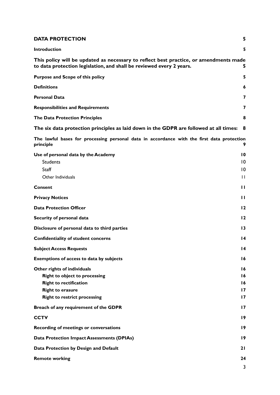| <b>DATA PROTECTION</b>                                                                                                                                                 | 5                                                |
|------------------------------------------------------------------------------------------------------------------------------------------------------------------------|--------------------------------------------------|
| <b>Introduction</b>                                                                                                                                                    | 5                                                |
| This policy will be updated as necessary to reflect best practice, or amendments made<br>to data protection legislation, and shall be reviewed every 2 years.          | 5.                                               |
| Purpose and Scope of this policy                                                                                                                                       | 5                                                |
| <b>Definitions</b>                                                                                                                                                     | 6                                                |
| <b>Personal Data</b>                                                                                                                                                   | 7                                                |
| <b>Responsibilities and Requirements</b>                                                                                                                               | 7                                                |
| <b>The Data Protection Principles</b>                                                                                                                                  | 8                                                |
| The six data protection principles as laid down in the GDPR are followed at all times:                                                                                 | 8                                                |
| The lawful bases for processing personal data in accordance with the first data protection<br>principle                                                                | 9                                                |
| Use of personal data by the Academy<br><b>Students</b><br><b>Staff</b><br>Other Individuals                                                                            | 10<br>10<br>$\overline{10}$<br>$\mathbf{H}$      |
| Consent                                                                                                                                                                | п                                                |
| <b>Privacy Notices</b>                                                                                                                                                 | $\mathbf{H}$                                     |
| <b>Data Protection Officer</b>                                                                                                                                         | $12 \,$                                          |
| Security of personal data                                                                                                                                              | 12                                               |
| Disclosure of personal data to third parties                                                                                                                           | 13                                               |
| <b>Confidentiality of student concerns</b>                                                                                                                             | 14                                               |
| <b>Subject Access Requests</b>                                                                                                                                         | $\overline{14}$                                  |
| <b>Exemptions of access to data by subjects</b>                                                                                                                        | 16                                               |
| Other rights of individuals<br><b>Right to object to processing</b><br><b>Right to rectification</b><br><b>Right to erasure</b><br><b>Right to restrict processing</b> | 16<br>16<br>16<br>$\mathbf{17}$<br>$\mathbf{17}$ |
| Breach of any requirement of the GDPR                                                                                                                                  | $\mathbf{17}$                                    |
| <b>CCTV</b>                                                                                                                                                            | 19                                               |
| Recording of meetings or conversations                                                                                                                                 | 19                                               |
| <b>Data Protection Impact Assessments (DPIAs)</b>                                                                                                                      | 19                                               |
| Data Protection by Design and Default                                                                                                                                  | 21                                               |
| <b>Remote working</b>                                                                                                                                                  | 24<br>3                                          |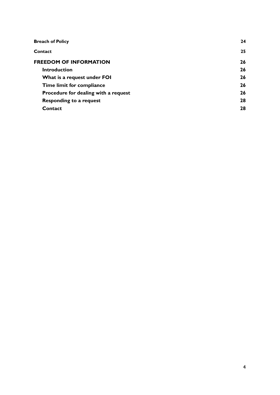| <b>Breach of Policy</b>              | 24 |
|--------------------------------------|----|
| Contact                              | 25 |
| <b>FREEDOM OF INFORMATION</b>        | 26 |
| <b>Introduction</b>                  | 26 |
| What is a request under FOI          | 26 |
| Time limit for compliance            | 26 |
| Procedure for dealing with a request | 26 |
| <b>Responding to a request</b>       | 28 |
| Contact                              | 28 |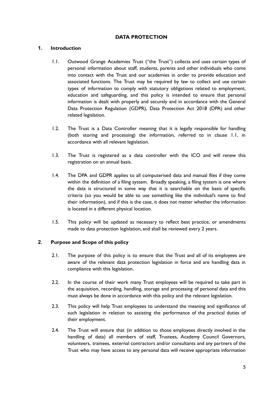#### **DATA PROTECTION**

#### <span id="page-4-1"></span><span id="page-4-0"></span>**1. Introduction**

- 1.1. Outwood Grange Academies Trust ("the Trust") collects and uses certain types of personal information about staff, students, parents and other individuals who come into contact with the Trust and our academies in order to provide education and associated functions. The Trust may be required by law to collect and use certain types of information to comply with statutory obligations related to employment, education and safeguarding, and this policy is intended to ensure that personal information is dealt with properly and securely and in accordance with the General Data Protection Regulation (GDPR), Data Protection Act 2018 (DPA) and other related legislation.
- 1.2. The Trust is a Data Controller meaning that it is legally responsible for handling (both storing and processing) the information, referred to in clause 1.1, in accordance with all relevant legislation.
- 1.3. The Trust is registered as a data controller with the ICO and will renew this registration on an annual basis.
- 1.4. The DPA and GDPR applies to all computerised data and manual files if they come within the definition of a filing system. Broadly speaking, a filing system is one where the data is structured in some way that it is searchable on the basis of specific criteria (so you would be able to use something like the individual's name to find their information), and if this is the case, it does not matter whether the information is located in a different physical location.
- 1.5. This policy will be updated as necessary to reflect best practice, or amendments made to data protection legislation, and shall be reviewed every 2 years.

#### <span id="page-4-3"></span><span id="page-4-2"></span>**2. Purpose and Scope of this policy**

- 2.1. The purpose of this policy is to ensure that the Trust and all of its employees are aware of the relevant data protection legislation in force and are handling data in compliance with this legislation.
- 2.2. In the course of their work many Trust employees will be required to take part in the acquisition, recording, handling, storage and processing of personal data and this must always be done in accordance with this policy and the relevant legislation.
- 2.3. This policy will help Trust employees to understand the meaning and significance of such legislation in relation to assisting the performance of the practical duties of their employment.
- 2.4. The Trust will ensure that (in addition to those employees directly involved in the handling of data) all members of staff, Trustees, Academy Council Governors, volunteers, trainees, external contractors and/or consultants and any partners of the Trust who may have access to any personal data will receive appropriate information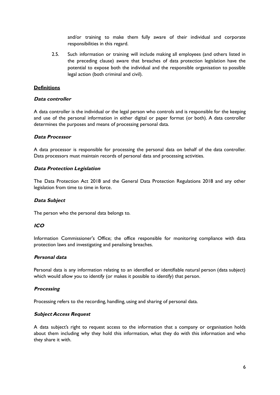and/or training to make them fully aware of their individual and corporate responsibilities in this regard.

2.5. Such information or training will include making all employees (and others listed in the preceding clause) aware that breaches of data protection legislation have the potential to expose both the individual and the responsible organisation to possible legal action (both criminal and civil).

#### <span id="page-5-0"></span>**Definitions**

#### **Data controller**

A data controller is the individual or the legal person who controls and is responsible for the keeping and use of the personal information in either digital or paper format (or both). A data controller determines the purposes and means of processing personal data.

#### **Data Processor**

A data processor is responsible for processing the personal data on behalf of the data controller. Data processors must maintain records of personal data and processing activities.

#### **Data Protection Legislation**

The Data Protection Act 2018 and the General Data Protection Regulations 2018 and any other legislation from time to time in force.

#### **Data Subject**

The person who the personal data belongs to.

## **ICO**

Information Commissioner's Office; the office responsible for monitoring compliance with data protection laws and investigating and penalising breaches.

#### **Personal data**

Personal data is any information relating to an identified or identifiable natural person (data subject) which would allow you to identify (or makes it possible to identify) that person.

#### **Processing**

Processing refers to the recording, handling, using and sharing of personal data.

#### **Subject Access Request**

A data subject's right to request access to the information that a company or organisation holds about them including why they hold this information, what they do with this information and who they share it with.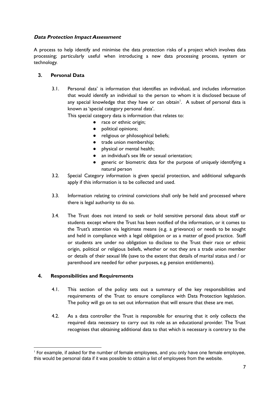## **Data Protection Impact Assessment**

A process to help identify and minimise the data protection risks of a project which involves data processing; particularly useful when introducing a new data processing process, system or technology.

## <span id="page-6-0"></span>**3. Personal Data**

3.1. Personal data' is information that identifies an individual, and includes information that would identify an individual to the person to whom it is disclosed because of any special knowledge that they have or can obtain<sup>1</sup>. A subset of personal data is known as'special category personal data'.

This special category data is information that relates to:

- race or ethnic origin;
- political opinions;
- religious or philosophical beliefs;
- trade union membership;
- physical or mental health;
- an individual's sex life or sexual orientation;
- generic or biometric data for the purpose of uniquely identifying a natural person
- 3.2. Special Category information is given special protection, and additional safeguards apply if this information is to be collected and used.
- 3.3. Information relating to criminal convictions shall only be held and processed where there is legal authority to do so.
- 3.4. The Trust does not intend to seek or hold sensitive personal data about staff or students except where the Trust has been notified of the information, or it comes to the Trust's attention via legitimate means (e.g. a grievance) or needs to be sought and held in compliance with a legal obligation or as a matter of good practice. Staff or students are under no obligation to disclose to the Trust their race or ethnic origin, political or religious beliefs, whether or not they are a trade union member or details of their sexual life (save to the extent that details of marital status and / or parenthood are needed for other purposes, e.g. pension entitlements).

## <span id="page-6-1"></span>**4. Responsibilities and Requirements**

- 4.1. This section of the policy sets out a summary of the key responsibilities and requirements of the Trust to ensure compliance with Data Protection legislation. The policy will go on to set out information that will ensure that these are met.
- 4.2. As a data controller the Trust is responsible for ensuring that it only collects the required data necessary to carry out its role as an educational provider. The Trust recognises that obtaining additional data to that which is necessary is contrary to the

<sup>1</sup> For example, if asked for the number of female employees, and you only have one female employee, this would be personal data if it was possible to obtain a list of employees from the website.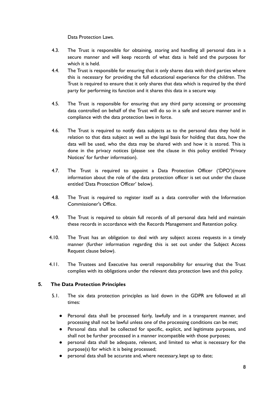Data Protection Laws.

- 4.3. The Trust is responsible for obtaining, storing and handling all personal data in a secure manner and will keep records of what data is held and the purposes for which it is held.
- 4.4. The Trust is responsible for ensuring that it only shares data with third parties where this is necessary for providing the full educational experience for the children. The Trust is required to ensure that it only shares that data which is required by the third party for performing its function and it shares this data in a secure way.
- 4.5. The Trust is responsible for ensuring that any third party accessing or processing data controlled on behalf of the Trust will do so in a safe and secure manner and in compliance with the data protection laws in force.
- 4.6. The Trust is required to notify data subjects as to the personal data they hold in relation to that data subject as well as the legal basis for holding that data, how the data will be used, who the data may be shared with and how it is stored. This is done in the privacy notices (please see the clause in this policy entitled 'Privacy Notices' for further information).
- 4.7. The Trust is required to appoint a Data Protection Officer ('DPO')(more information about the role of the data protection officer is set out under the clause entitled 'Data Protection Officer' below).
- 4.8. The Trust is required to register itself as a data controller with the Information Commissioner's Office.
- 4.9. The Trust is required to obtain full records of all personal data held and maintain these records in accordance with the Records Management and Retention policy.
- 4.10. The Trust has an obligation to deal with any subject access requests in a timely manner (further information regarding this is set out under the Subject Access Request clause below).
- 4.11. The Trustees and Executive has overall responsibility for ensuring that the Trust complies with its obligations under the relevant data protection laws and this policy.

## <span id="page-7-0"></span>**5. The Data Protection Principles**

- <span id="page-7-1"></span>5.1. The six data protection principles as laid down in the GDPR are followed at all times:
	- Personal data shall be processed fairly, lawfully and in a transparent manner, and processing shall not be lawful unless one of the processing conditions can be met;
	- Personal data shall be collected for specific, explicit, and legitimate purposes, and shall not be further processed in a manner incompatible with those purposes;
	- personal data shall be adequate, relevant, and limited to what is necessary for the purpose(s) for which it is being processed;
	- personal data shall be accurate and, where necessary, kept up to date;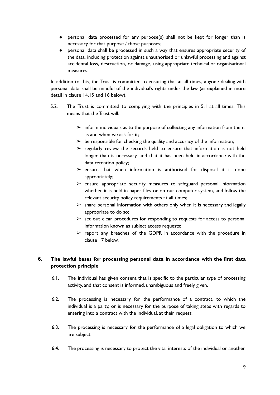- personal data processed for any purpose(s) shall not be kept for longer than is necessary for that purpose / those purposes;
- personal data shall be processed in such a way that ensures appropriate security of the data, including protection against unauthorised or unlawful processing and against accidental loss, destruction, or damage, using appropriate technical or organisational measures.

In addition to this, the Trust is committed to ensuring that at all times, anyone dealing with personal data shall be mindful of the individual's rights under the law (as explained in more detail in clause 14,15 and 16 below).

- 5.2. The Trust is committed to complying with the principles in 5.1 at all times. This means that the Trust will:
	- $\triangleright$  inform individuals as to the purpose of collecting any information from them, as and when we ask for it;
	- $\triangleright$  be responsible for checking the quality and accuracy of the information;
	- $\triangleright$  regularly review the records held to ensure that information is not held longer than is necessary, and that it has been held in accordance with the data retention policy;
	- $\triangleright$  ensure that when information is authorised for disposal it is done appropriately;
	- $\triangleright$  ensure appropriate security measures to safeguard personal information whether it is held in paper files or on our computer system, and follow the relevant security policy requirements at all times;
	- $\triangleright$  share personal information with others only when it is necessary and legally appropriate to do so;
	- $\geq$  set out clear procedures for responding to requests for access to personal information known as subject access requests;
	- $\triangleright$  report any breaches of the GDPR in accordance with the procedure in clause 17 below.

# <span id="page-8-0"></span>**6. The lawful bases for processing personal data in accordance with the first data protection principle**

- 6.1. The individual has given consent that is specific to the particular type of processing activity, and that consent is informed, unambiguous and freely given.
- 6.2. The processing is necessary for the performance of a contract, to which the individual is a party, or is necessary for the purpose of taking steps with regards to entering into a contract with the individual, at their request.
- 6.3. The processing is necessary for the performance of a legal obligation to which we are subject.
- 6.4. The processing is necessary to protect the vital interests of the individual or another.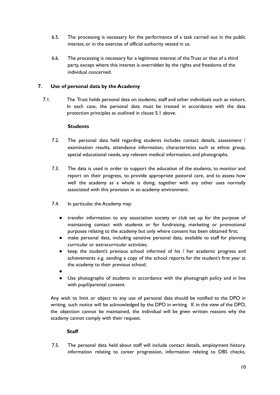- 6.5. The processing is necessary for the performance of a task carried out in the public interest, or in the exercise of official authority vested in us.
- 6.6. The processing is necessary for a legitimate interest of the Trust or that of a third party, except where this interest is overridden by the rights and freedoms of the individual concerned.

# <span id="page-9-0"></span>**7. Use of personal data by the Academy**

7.1. The Trust holds personal data on students, staff and other individuals such as visitors. In each case, the personal data must be treated in accordance with the data protection principles as outlined in clause 5.1 above.

#### **Students**

- <span id="page-9-1"></span>7.2. The personal data held regarding students includes contact details, assessment / examination results, attendance information, characteristics such as ethnic group, special educational needs, any relevant medical information, and photographs.
- 7.3. The data is used in order to support the education of the students, to monitor and report on their progress, to provide appropriate pastoral care, and to assess how well the academy as a whole is doing, together with any other uses normally associated with this provision in an academy environment.
- 7.4. In particular, the Academy may:
	- transfer information to any association society or club set up for the purpose of maintaining contact with students or for fundraising, marketing or promotional purposes relating to the academy but only where consent has been obtained first;
	- make personal data, including sensitive personal data, available to staff for planning curricular or extracurricular activities;
	- keep the student's previous school informed of his / her academic progress and achievements e.g. sending a copy of the school reports for the student's first year at the academy to their previous school;
	- ●
	- Use photographs of students in accordance with the photograph policy and in line with pupil/parental consent.

Any wish to limit or object to any use of personal data should be notified to the DPO in writing, such notice will be acknowledged by the DPO in writing. If, in the view of the DPO, the objection cannot be maintained, the individual will be given written reasons why the academy cannot comply with their request.

## **Staff**

<span id="page-9-2"></span>7.5. The personal data held about staff will include contact details, employment history, information relating to career progression, information relating to DBS checks,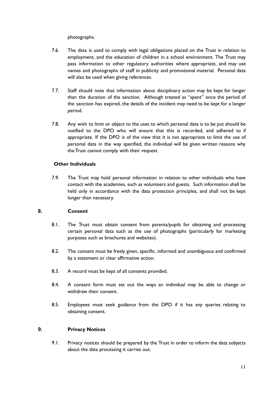photographs.

- 7.6. The data is used to comply with legal obligations placed on the Trust in relation to employment, and the education of children in a school environment. The Trust may pass information to other regulatory authorities where appropriate, and may use names and photographs of staff in publicity and promotional material. Personal data will also be used when giving references.
- 7.7. Staff should note that information about disciplinary action may be kept for longer than the duration of the sanction. Although treated as "spent" once the period of the sanction has expired, the details of the incident may need to be kept for a longer period.
- 7.8. Any wish to limit or object to the uses to which personal data is to be put should be notified to the DPO who will ensure that this is recorded, and adhered to if appropriate. If the DPO is of the view that it is not appropriate to limit the use of personal data in the way specified, the individual will be given written reasons why the Trust cannot comply with their request.

## <span id="page-10-0"></span>**Other Individuals**

7.9. The Trust may hold personal information in relation to other individuals who have contact with the academies, such as volunteers and guests. Such information shall be held only in accordance with the data protection principles, and shall not be kept longer than necessary.

## <span id="page-10-1"></span>**8. Consent**

- 8.1. The Trust must obtain consent from parents/pupils for obtaining and processing certain personal data such as the use of photographs (particularly for marketing purposes such as brochures and websites).
- 8.2. The consent must be freely given, specific, informed and unambiguous and confirmed by a statement or clear affirmative action.
- 8.3. A record must be kept of all consents provided.
- 8.4. A consent form must set out the ways an individual may be able to change or withdraw their consent
- 8.5. Employees must seek guidance from the DPO if it has any queries relating to obtaining consent.

# <span id="page-10-2"></span>**9. Privacy Notices**

9.1. Privacy notices should be prepared by the Trust in order to inform the data subjects about the data processing it carries out.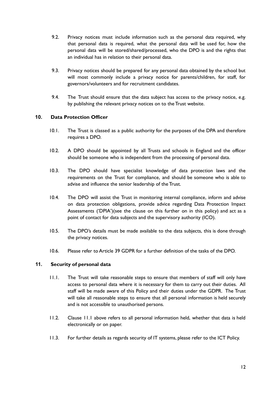- 9.2. Privacy notices must include information such as the personal data required, why that personal data is required, what the personal data will be used for, how the personal data will be stored/shared/processed, who the DPO is and the rights that an individual has in relation to their personal data.
- 9.3. Privacy notices should be prepared for any personal data obtained by the school but will most commonly include a privacy notice for parents/children, for staff, for governors/volunteers and for recruitment candidates.
- 9.4. The Trust should ensure that the data subject has access to the privacy notice, e.g. by publishing the relevant privacy notices on to the Trust website.

#### <span id="page-11-0"></span>**10. Data Protection Officer**

- 10.1. The Trust is classed as a public authority for the purposes of the DPA and therefore requires a DPO.
- 10.2. A DPO should be appointed by all Trusts and schools in England and the officer should be someone who is independent from the processing of personal data.
- 10.3. The DPO should have specialist knowledge of data protection laws and the requirements on the Trust for compliance, and should be someone who is able to advise and influence the senior leadership of the Trust.
- 10.4. The DPO will assist the Trust in monitoring internal compliance, inform and advise on data protection obligations, provide advice regarding Data Protection Impact Assessments ('DPIA')(see the clause on this further on in this policy) and act as a point of contact for data subjects and the supervisory authority (ICO).
- 10.5. The DPO's details must be made available to the data subjects, this is done through the privacy notices.
- 10.6. Please refer to Article 39 GDPR for a further definition of the tasks of the DPO.

## <span id="page-11-1"></span>**11. Security of personal data**

- 11.1. The Trust will take reasonable steps to ensure that members of staff will only have access to personal data where it is necessary for them to carry out their duties. All staff will be made aware of this Policy and their duties under the GDPR. The Trust will take all reasonable steps to ensure that all personal information is held securely and is not accessible to unauthorised persons.
- 11.2. Clause 11.1 above refers to all personal information held, whether that data is held electronically or on paper.
- 11.3. For further details as regards security of IT systems, please refer to the ICT Policy.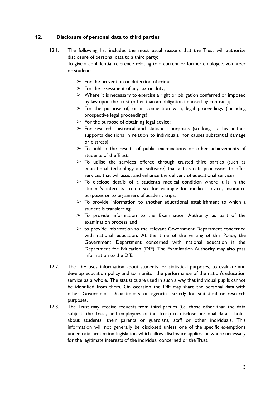## <span id="page-12-0"></span>**12. Disclosure of personal data to third parties**

- 12.1. The following list includes the most usual reasons that the Trust will authorise disclosure of personal data to a third party: To give a confidential reference relating to a current or former employee, volunteer or student;
	- $\triangleright$  For the prevention or detection of crime;
	- $\triangleright$  For the assessment of any tax or duty;
	- $\triangleright$  Where it is necessary to exercise a right or obligation conferred or imposed by law upon the Trust (other than an obligation imposed by contract);
	- $\triangleright$  For the purpose of, or in connection with, legal proceedings (including prospective legal proceedings);
	- $\triangleright$  For the purpose of obtaining legal advice;
	- $\triangleright$  For research, historical and statistical purposes (so long as this neither supports decisions in relation to individuals, nor causes substantial damage or distress);
	- $\geq$  To publish the results of public examinations or other achievements of students of the Trust;
	- $\geq$  To utilise the services offered through trusted third parties (such as educational technology and software) that act as data processors to offer services that will assist and enhance the delivery of educational services.
	- $\geq$  To disclose details of a student's medical condition where it is in the student's interests to do so, for example for medical advice, insurance purposes or to organisers of academy trips;
	- $\triangleright$  To provide information to another educational establishment to which a student is transferring;
	- $\geq$  To provide information to the Examination Authority as part of the examination process; and
	- $\geq$  to provide information to the relevant Government Department concerned with national education. At the time of the writing of this Policy, the Government Department concerned with national education is the Department for Education (DfE). The Examination Authority may also pass information to the DfE.
- 12.2. The DfE uses information about students for statistical purposes, to evaluate and develop education policy and to monitor the performance of the nation's education service as a whole. The statistics are used in such a way that individual pupils cannot be identified from them. On occasion the DfE may share the personal data with other Government Departments or agencies strictly for statistical or research purposes.
- 12.3. The Trust may receive requests from third parties (i.e. those other than the data subject, the Trust, and employees of the Trust) to disclose personal data it holds about students, their parents or guardians, staff or other individuals. This information will not generally be disclosed unless one of the specific exemptions under data protection legislation which allow disclosure applies; or where necessary for the legitimate interests of the individual concerned or the Trust.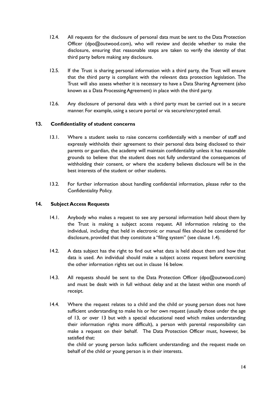- 12.4. All requests for the disclosure of personal data must be sent to the Data Protection Officer (dpo@outwood.com), who will review and decide whether to make the disclosure, ensuring that reasonable steps are taken to verify the identity of that third party before making any disclosure.
- 12.5. If the Trust is sharing personal information with a third party, the Trust will ensure that the third party is compliant with the relevant data protection legislation. The Trust will also assess whether it is necessary to have a Data Sharing Agreement (also known as a Data Processing Agreement) in place with the third party.
- 12.6. Any disclosure of personal data with a third party must be carried out in a secure manner. For example, using a secure portal or via secure/encrypted email.

## <span id="page-13-0"></span>**13. Confidentiality of student concerns**

- 13.1. Where a student seeks to raise concerns confidentially with a member of staff and expressly withholds their agreement to their personal data being disclosed to their parents or guardian, the academy will maintain confidentiality unless it has reasonable grounds to believe that the student does not fully understand the consequences of withholding their consent, or where the academy believes disclosure will be in the best interests of the student or other students.
- 13.2. For further information about handling confidential information, please refer to the Confidentiality Policy.

#### <span id="page-13-1"></span>**14. Subject Access Requests**

- 14.1. Anybody who makes a request to see any personal information held about them by the Trust is making a subject access request. All information relating to the individual, including that held in electronic or manual files should be considered for disclosure, provided that they constitute a "filing system" (see clause 1.4).
- 14.2. A data subject has the right to find out what data is held about them and how that data is used. An individual should make a subject access request before exercising the other information rights set out in clause 16 below.
- 14.3. All requests should be sent to the Data Protection Officer (dpo@outwood.com) and must be dealt with in full without delay and at the latest within one month of receipt.
- 14.4. Where the request relates to a child and the child or young person does not have sufficient understanding to make his or her own request (usually those under the age of 13, or over 13 but with a special educational need which makes understanding their information rights more difficult), a person with parental responsibility can make a request on their behalf. The Data Protection Officer must, however, be satisfied that:

the child or young person lacks sufficient understanding; and the request made on behalf of the child or young person is in their interests.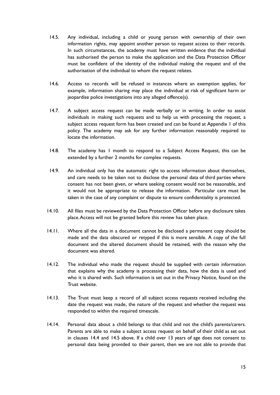- 14.5. Any individual, including a child or young person with ownership of their own information rights, may appoint another person to request access to their records. In such circumstances, the academy must have written evidence that the individual has authorised the person to make the application and the Data Protection Officer must be confident of the identity of the individual making the request and of the authorisation of the individual to whom the request relates.
- 14.6. Access to records will be refused in instances where an exemption applies, for example, information sharing may place the individual at risk of significant harm or jeopardise police investigations into any alleged offence(s).
- 14.7. A subject access request can be made verbally or in writing. In order to assist individuals in making such requests and to help us with processing the request, a subject access request form has been created and can be found at Appendix 1 of this policy. The academy may ask for any further information reasonably required to locate the information.
- 14.8. The academy has I month to respond to a Subject Access Request, this can be extended by a further 2 months for complex requests.
- 14.9. An individual only has the automatic right to access information about themselves, and care needs to be taken not to disclose the personal data of third parties where consent has not been given, or where seeking consent would not be reasonable, and it would not be appropriate to release the information. Particular care must be taken in the case of any complaint or dispute to ensure confidentiality is protected.
- 14.10. All files must be reviewed by the Data Protection Officer before any disclosure takes place.Access will not be granted before this review has taken place.
- 14.11. Where all the data in a document cannot be disclosed a permanent copy should be made and the data obscured or retyped if this is more sensible. A copy of the full document and the altered document should be retained, with the reason why the document was altered.
- 14.12. The individual who made the request should be supplied with certain information that explains why the academy is processing their data, how the data is used and who it is shared with. Such information is set out in the Privacy Notice, found on the Trust website.
- 14.13. The Trust must keep a record of all subject access requests received including the date the request was made, the nature of the request and whether the request was responded to within the required timescale.
- 14.14. Personal data about a child belongs to that child and not the child's parents/carers. Parents are able to make a subject access request on behalf of their child as set out in clauses 14.4 and 14.5 above. If a child over 13 years of age does not consent to personal data being provided to their parent, then we are not able to provide that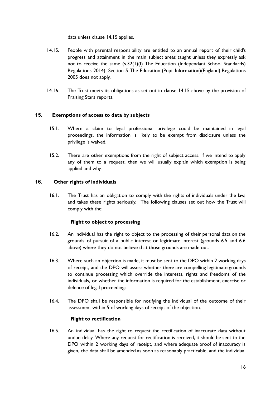data unless clause 14.15 applies.

- 14.15. People with parental responsibility are entitled to an annual report of their child's progress and attainment in the main subject areas taught unless they expressly ask not to receive the same (s.32(1)(f) The Education (Independant School Standards) Regulations 2014). Section 5 The Education (Pupil Information)(England) Regulations 2005 does not apply.
- 14.16. The Trust meets its obligations as set out in clause 14.15 above by the provision of Praising Stars reports.

## <span id="page-15-0"></span>**15. Exemptions of access to data by subjects**

- 15.1. Where a claim to legal professional privilege could be maintained in legal proceedings, the information is likely to be exempt from disclosure unless the privilege is waived.
- 15.2. There are other exemptions from the right of subject access. If we intend to apply any of them to a request, then we will usually explain which exemption is being applied and why.

## <span id="page-15-1"></span>**16. Other rights of individuals**

16.1. The Trust has an obligation to comply with the rights of individuals under the law, and takes these rights seriously. The following clauses set out how the Trust will comply with the:

## **Right to object to processing**

- <span id="page-15-2"></span>16.2. An individual has the right to object to the processing of their personal data on the grounds of pursuit of a public interest or legitimate interest (grounds 6.5 and 6.6 above) where they do not believe that those grounds are made out.
- 16.3. Where such an objection is made, it must be sent to the DPO within 2 working days of receipt, and the DPO will assess whether there are compelling legitimate grounds to continue processing which override the interests, rights and freedoms of the individuals, or whether the information is required for the establishment, exercise or defence of legal proceedings.
- 16.4. The DPO shall be responsible for notifying the individual of the outcome of their assessment within 5 of working days of receipt of the objection.

## **Right to rectification**

<span id="page-15-3"></span>16.5. An individual has the right to request the rectification of inaccurate data without undue delay. Where any request for rectification is received, it should be sent to the DPO within 2 working days of receipt, and where adequate proof of inaccuracy is given, the data shall be amended as soon as reasonably practicable, and the individual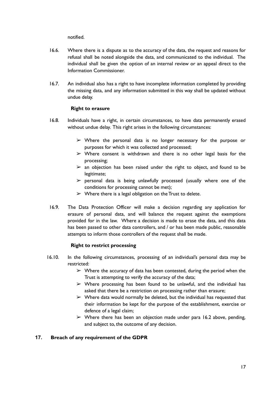notified.

- 16.6. Where there is a dispute as to the accuracy of the data, the request and reasons for refusal shall be noted alongside the data, and communicated to the individual. The individual shall be given the option of an internal review or an appeal direct to the Information Commissioner.
- 16.7. An individual also has a right to have incomplete information completed by providing the missing data, and any information submitted in this way shall be updated without undue delay.

#### **Right to erasure**

- <span id="page-16-0"></span>16.8. Individuals have a right, in certain circumstances, to have data permanently erased without undue delay. This right arises in the following circumstances:
	- $\triangleright$  Where the personal data is no longer necessary for the purpose or purposes for which it was collected and processed;
	- $\triangleright$  Where consent is withdrawn and there is no other legal basis for the processing;
	- $\geq$  an objection has been raised under the right to object, and found to be legitimate;
	- $\triangleright$  personal data is being unlawfully processed (usually where one of the conditions for processing cannot be met);
	- $\triangleright$  Where there is a legal obligation on the Trust to delete.
- 16.9. The Data Protection Officer will make a decision regarding any application for erasure of personal data, and will balance the request against the exemptions provided for in the law. Where a decision is made to erase the data, and this data has been passed to other data controllers, and / or has been made public, reasonable attempts to inform those controllers of the request shall be made.

#### **Right to restrict processing**

- <span id="page-16-1"></span>16.10. In the following circumstances, processing of an individual's personal data may be restricted:
	- $\triangleright$  Where the accuracy of data has been contested, during the period when the Trust is attempting to verify the accuracy of the data;
	- $\triangleright$  Where processing has been found to be unlawful, and the individual has asked that there be a restriction on processing rather than erasure;
	- $\triangleright$  Where data would normally be deleted, but the individual has requested that their information be kept for the purpose of the establishment, exercise or defence of a legal claim;
	- $\triangleright$  Where there has been an objection made under para 16.2 above, pending, and subject to, the outcome of any decision.

#### <span id="page-16-2"></span>**17. Breach of any requirement of the GDPR**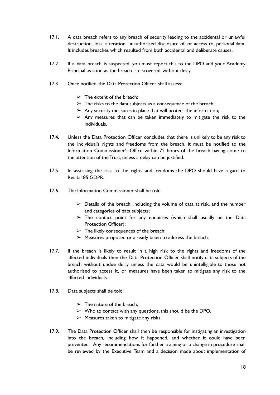- 17.1. A data breach refers to any breach of security leading to the accidental or unlawful destruction, loss, alteration, unauthorised disclosure of, or access to, personal data. It includes breaches which resulted from both accidental and deliberate causes.
- 17.2. If a data breach is suspected, you must report this to the DPO and your Academy Principal as soon as the breach is discovered, without delay.
- 17.3. Once notified, the Data Protection Officer shall assess:
	- $\triangleright$  The extent of the breach:
	- $\triangleright$  The risks to the data subjects as a consequence of the breach;
	- $\triangleright$  Any security measures in place that will protect the information;
	- $\triangleright$  Any measures that can be taken immediately to mitigate the risk to the individuals.
- 17.4. Unless the Data Protection Officer concludes that there is unlikely to be any risk to the individual's rights and freedoms from the breach, it must be notified to the Information Commissioner's Office within 72 hours of the breach having come to the attention of the Trust, unless a delay can be justified.
- 17.5. In assessing the risk to the rights and freedoms the DPO should have regard to Recital 85 GDPR.
- 17.6. The Information Commissioner shall be told:
	- $\triangleright$  Details of the breach, including the volume of data at risk, and the number and categories of data subjects;
	- $\triangleright$  The contact point for any enquiries (which shall usually be the Data Protection Officer);
	- $\triangleright$  The likely consequences of the breach;
	- $\triangleright$  Measures proposed or already taken to address the breach.
- 17.7. If the breach is likely to result in a high risk to the rights and freedoms of the affected individuals then the Data Protection Officer shall notify data subjects of the breach without undue delay unless the data would be unintelligible to those not authorised to access it, or measures have been taken to mitigate any risk to the affected individuals.
- 17.8. Data subjects shall be told:
	- $\triangleright$  The nature of the breach:
	- $\triangleright$  Who to contact with any questions, this should be the DPO.
	- $\triangleright$  Measures taken to mitigate any risks.
- 17.9. The Data Protection Officer shall then be responsible for instigating an investigation into the breach, including how it happened, and whether it could have been prevented. Any recommendations for further training or a change in procedure shall be reviewed by the Executive Team and a decision made about implementation of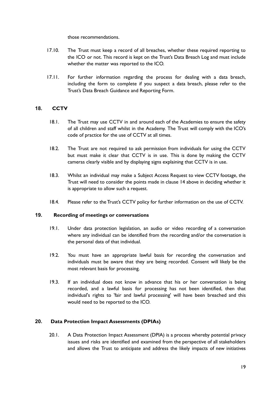those recommendations.

- 17.10. The Trust must keep a record of all breaches, whether these required reporting to the ICO or not. This record is kept on the Trust's Data Breach Log and must include whether the matter was reported to the ICO.
- 17.11. For further information regarding the process for dealing with a data breach, including the form to complete if you suspect a data breach, please refer to the Trust's Data Breach Guidance and Reporting Form.

## <span id="page-18-0"></span>**18. CCTV**

- 18.1. The Trust may use CCTV in and around each of the Academies to ensure the safety of all children and staff whilst in the Academy. The Trust will comply with the ICO's code of practice for the use of CCTV at all times.
- 18.2. The Trust are not required to ask permission from individuals for using the CCTV but must make it clear that CCTV is in use. This is done by making the CCTV cameras clearly visible and by displaying signs explaining that CCTV is in use.
- 18.3. Whilst an individual may make a Subject Access Request to view CCTV footage, the Trust will need to consider the points made in clause 14 above in deciding whether it is appropriate to allow such a request.
- 18.4. Please refer to the Trust's CCTV policy for further information on the use of CCTV.

#### <span id="page-18-1"></span>**19. Recording of meetings or conversations**

- 19.1. Under data protection legislation, an audio or video recording of a conversation where any individual can be identified from the recording and/or the conversation is the personal data of that individual.
- 19.2. You must have an appropriate [lawful](https://www.gla.ac.uk/myglasgow/dpfoioffice/gdpr/processing/) basis for recording the conversation and individuals must be aware that they are being recorded. [Consent](https://www.gla.ac.uk/myglasgow/dpfoioffice/gdpr/consent/) will likely be the most relevant basis for processing.
- 19.3. If an individual does not know in advance that his or her conversation is being recorded, and a lawful basis for processing has not been identified, then that individual's rights to 'fair and lawful processing' will have been breached and this would need to be reported to the ICO.

## <span id="page-18-2"></span>**20. Data Protection Impact Assessments (DPIAs)**

20.1. A Data Protection Impact Assessment (DPIA) is a process whereby potential privacy issues and risks are identified and examined from the perspective of all stakeholders and allows the Trust to anticipate and address the likely impacts of new initiatives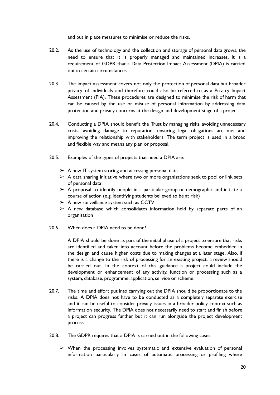and put in place measures to minimise or reduce the risks.

- 20.2. As the use of technology and the collection and storage of personal data grows, the need to ensure that it is properly managed and maintained increases. It is a requirement of GDPR that a Data Protection Impact Assessment (DPIA) is carried out in certain circumstances.
- 20.3. The impact assessment covers not only the protection of personal data but broader privacy of individuals and therefore could also be referred to as a Privacy Impact Assessment (PIA). These procedures are designed to minimise the risk of harm that can be caused by the use or misuse of personal information by addressing data protection and privacy concerns at the design and development stage of a project.
- 20.4. Conducting a DPIA should benefit the Trust by managing risks, avoiding unnecessary costs, avoiding damage to reputation, ensuring legal obligations are met and improving the relationship with stakeholders. The term project is used in a broad and flexible way and means any plan or proposal.
- 20.5. Examples of the types of projects that need a DPIA are:
	- $\triangleright$  A new IT system storing and accessing personal data
	- $\triangleright$  A data sharing initiative where two or more organisations seek to pool or link sets of personal data
	- $\triangleright$  A proposal to identify people in a particular group or demographic and initiate a course of action (e.g. identifying students believed to be at risk)
	- $\triangleright$  A new surveillance system such as CCTV
	- $\triangleright$  A new database which consolidates information held by separate parts of an organisation
- 20.6. When does a DPIA need to be done?

A DPIA should be done as part of the initial phase of a project to ensure that risks are identified and taken into account before the problems become embedded in the design and cause higher costs due to making changes at a later stage. Also, if there is a change to the risk of processing for an existing project, a review should be carried out. In the context of this guidance a project could include the development or enhancement of any activity, function or processing such as a system, database, programme, application, service or scheme.

- 20.7. The time and effort put into carrying out the DPIA should be proportionate to the risks. A DPIA does not have to be conducted as a completely separate exercise and it can be useful to consider privacy issues in a broader policy context such as information security. The DPIA does not necessarily need to start and finish before a project can progress further but it can run alongside the project development process.
- 20.8. The GDPR requires that a DPIA is carried out in the following cases:
	- ➢ When the processing involves systematic and extensive evaluation of personal information particularly in cases of automatic processing or profiling where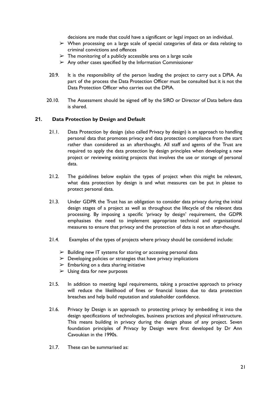decisions are made that could have a significant or legal impact on an individual.

- ➢ When processing on a large scale of special categories of data or data relating to criminal convictions and offences
- $\triangleright$  The monitoring of a publicly accessible area on a large scale
- $\triangleright$  Any other cases specified by the Information Commissioner
- 20.9. It is the responsibility of the person leading the project to carry out a DPIA. As part of the process the Data Protection Officer must be consulted but it is not the Data Protection Officer who carries out the DPIA.
- 20.10. The Assessment should be signed off by the SIRO or Director of Data before data is shared.

#### <span id="page-20-0"></span>**21. Data Protection by Design and Default**

- 21.1. Data Protection by design (also called Privacy by design) is an approach to handling personal data that promotes privacy and data protection compliance from the start rather than considered as an afterthought. All staff and agents of the Trust are required to apply the data protection by design principles when developing a new project or reviewing existing projects that involves the use or storage of personal data.
- 21.2. The guidelines below explain the types of project when this might be relevant, what data protection by design is and what measures can be put in please to protect personal data.
- 21.3. Under GDPR the Trust has an obligation to consider data privacy during the initial design stages of a project as well as throughout the lifecycle of the relevant data processing. By imposing a specific 'privacy by design' requirement, the GDPR emphasises the need to implement appropriate technical and organisational measures to ensure that privacy and the protection of data is not an after-thought.
- 21.4. Examples of the types of projects where privacy should be considered include:
	- $\triangleright$  Building new IT systems for storing or accessing personal data
	- $\triangleright$  Developing policies or strategies that have privacy implications
	- $\geq$  Embarking on a data sharing initiative
	- $\triangleright$  Using data for new purposes
- 21.5. In addition to meeting legal requirements, taking a proactive approach to privacy will reduce the likelihood of fines or financial losses due to data protection breaches and help build reputation and stakeholder confidence.
- 21.6. Privacy by Design is an approach to protecting privacy by embedding it into the design specifications of technologies, business practices and physical infrastructure. This means building in privacy during the design phase of any project. Seven foundation principles of Privacy by Design were first developed by Dr Ann Cavoukian in the 1990s.
- 21.7. These can be summarised as: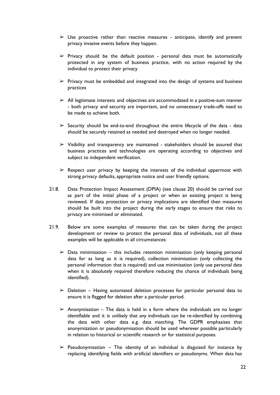- $\triangleright$  Use proactive rather than reactive measures anticipate, identify and prevent privacy invasive events before they happen.
- $\triangleright$  Privacy should be the default position personal data must be automatically protected in any system of business practice, with no action required by the individual to protect their privacy
- $\triangleright$  Privacy must be embedded and integrated into the design of systems and business practices
- $\triangleright$  All legitimate interests and objectives are accommodated in a positive-sum manner - both privacy and security are important, and no unnecessary trade-offs need to be made to achieve both.
- $\triangleright$  Security should be end-to-end throughout the entire lifecycle of the data data should be securely retained as needed and destroyed when no longer needed.
- $\triangleright$  Visibility and transparency are maintained stakeholders should be assured that business practices and technologies are operating according to objectives and subject to independent verification.
- $\triangleright$  Respect user privacy by keeping the interests of the individual uppermost with strong privacy defaults, appropriate notice and user friendly options.
- 21.8. Data Protection Impact Assessment (DPIA) (see clause 20) should be carried out as part of the initial phase of a project or when an existing project is being reviewed. If data protection or privacy implications are identified then measures should be built into the project during the early stages to ensure that risks to privacy are minimised or eliminated.
- 21.9. Below are some examples of measures that can be taken during the project development or review to protect the personal data of individuals, not all these examples will be applicable in all circumstances:
	- $\triangleright$  Data minimisation this includes retention minimisation (only keeping personal data for as long as it is required), collection minimisation (only collecting the personal information that is required) and use minimisation (only use personal data when it is absolutely required therefore reducing the chance of individuals being identified).
	- $\triangleright$  Deletion Having automated deletion processes for particular personal data to ensure it is flagged for deletion after a particular period.
	- $\triangleright$  Anonymisation The data is held in a form where the individuals are no longer identifiable and it is unlikely that any individuals can be re-identified by combining the data with other data e.g. data matching. The GDPR emphasises that anonymization or pseudonymisation should be used wherever possible particularly in relation to historical or scientific research or for statistical purposes.
	- $\triangleright$  Pseudonymisation The identity of an individual is disguised for instance by replacing identifying fields with artificial identifiers or pseudonyms. When data has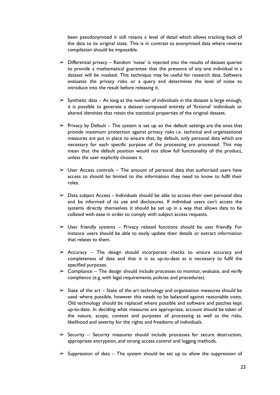been pseudonymised it still retains a level of detail which allows tracking back of the data to its original state. This is in contrast to anonymised data where reverse compilation should be impossible.

- $\triangleright$  Differential privacy Random 'noise' is injected into the results of dataset queries to provide a mathematical guarantee that the presence of any one individual in a dataset will be masked. This technique may be useful for research data. Software evaluates the privacy risks or a query and determines the level of noise to introduce into the result before releasing it.
- $\triangleright$  Synthetic data As long as the number of individuals in the dataset is large enough, it is possible to generate a dataset composed entirely of 'fictional' individuals or altered identities that retain the statistical properties of the original dataset.
- $\triangleright$  Privacy by Default The system is set up so the default settings are the ones that provide maximum protection against privacy risks i.e. technical and organisational measures are put in place to ensure that, by default, only personal data which are necessary for each specific purpose of the processing are processed. This may mean that the default position would not allow full functionality of the product, unless the user explicitly chooses it.
- $\triangleright$  User Access controls The amount of personal data that authorised users have access to should be limited to the information they need to know to fulfil their roles.
- $\triangleright$  Data subject Access Individuals should be able to access their own personal data and be informed of its use and disclosures. If individual users can't access the systems directly themselves it should be set up in a way that allows data to be collated with ease in order to comply with subject access requests.
- $\triangleright$  User friendly systems Privacy related functions should be user friendly. For instance users should be able to easily update their details or extract information that relates to them.
- $\triangleright$  Accuracy The design should incorporate checks to ensure accuracy and completeness of data and that it is as up-to-date as is necessary to fulfil the specified purposes.
- $\triangleright$  Compliance The design should include processes to monitor, evaluate, and verify compliance (e.g. with legal requirements, policies and procedures)
- $\geq$  State of the art State of the art technology and organisation measures should be used where possible, however this needs to be balanced against reasonable costs. Old technology should be replaced where possible and software and patches kept up-to-date. In deciding what measures are appropriate, account should be taken of the nature, scope, context and purposes of processing as well as the risks, likelihood and severity for the rights and freedoms of individuals.
- $\triangleright$  Security Security measures should include processes for secure destruction, appropriate encryption, and strong access control and logging methods.
- $\triangleright$  Suppression of data The system should be set up to allow the suppression of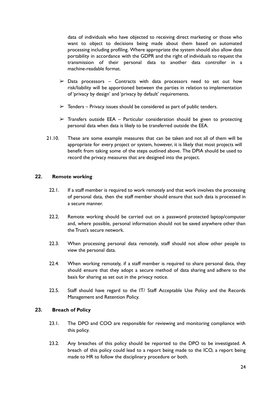data of individuals who have objected to receiving direct marketing or those who want to object to decisions being made about them based on automated processing including profiling. Where appropriate the system should also allow data portability in accordance with the GDPR and the right of individuals to request the transmission of their personal data to another data controller in a machine-readable format.

- $\triangleright$  Data processors Contracts with data processors need to set out how risk/liability will be apportioned between the parties in relation to implementation of 'privacy by design' and 'privacy by default' requirements.
- $\triangleright$  Tenders Privacy issues should be considered as part of public tenders.
- $\triangleright$  Transfers outside EEA Particular consideration should be given to protecting personal data when data is likely to be transferred outside the EEA.
- 21.10. These are some example measures that can be taken and not all of them will be appropriate for every project or system, however, it is likely that most projects will benefit from taking some of the steps outlined above. The DPIA should be used to record the privacy measures that are designed into the project.

#### <span id="page-23-0"></span>**22. Remote working**

- 22.1. If a staff member is required to work remotely and that work involves the processing of personal data, then the staff member should ensure that such data is processed in a secure manner.
- 22.2. Remote working should be carried out on a password protected laptop/computer and, where possible, personal information should not be saved anywhere other than the Trust's secure network.
- 22.3. When processing personal data remotely, staff should not allow other people to view the personal data.
- 22.4. When working remotely, if a staff member is required to share personal data, they should ensure that they adopt a secure method of data sharing and adhere to the basis for sharing as set out in the privacy notice.
- 22.5. Staff should have regard to the IT/ Staff Acceptable Use Policy and the Records Management and Retention Policy.

## <span id="page-23-1"></span>**23. Breach of Policy**

- 23.1. The DPO and COO are responsible for reviewing and monitoring compliance with this policy.
- 23.2. Any breaches of this policy should be reported to the DPO to be investigated. A breach of this policy could lead to a report being made to the ICO, a report being made to HR to follow the disciplinary procedure or both.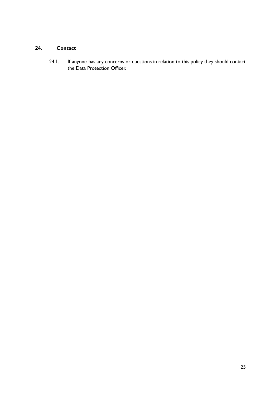## <span id="page-24-0"></span>**24. Contact**

24.1. If anyone has any concerns or questions in relation to this policy they should contact the Data Protection Officer.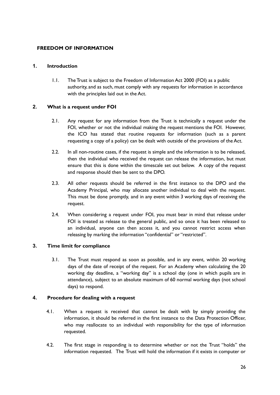## <span id="page-25-0"></span>**FREEDOM OF INFORMATION**

## <span id="page-25-1"></span>**1. Introduction**

1.1. The Trust is subject to the Freedom of Information Act 2000 (FOI) as a public authority, and as such, must comply with any requests for information in accordance with the principles laid out in the Act.

## <span id="page-25-2"></span>**2. What is a request under FOI**

- 2.1. Any request for any information from the Trust is technically a request under the FOI, whether or not the individual making the request mentions the FOI. However, the ICO has stated that routine requests for information (such as a parent requesting a copy of a policy) can be dealt with outside of the provisions of the Act.
- 2.2. In all non-routine cases, if the request is simple and the information is to be released, then the individual who received the request can release the information, but must ensure that this is done within the timescale set out below. A copy of the request and response should then be sent to the DPO.
- 2.3. All other requests should be referred in the first instance to the DPO and the Academy Principal, who may allocate another individual to deal with the request. This must be done promptly, and in any event within 3 working days of receiving the request.
- 2.4. When considering a request under FOI, you must bear in mind that release under FOI is treated as release to the general public, and so once it has been released to an individual, anyone can then access it, and you cannot restrict access when releasing by marking the information "confidential" or "restricted".

## <span id="page-25-3"></span>**3. Time limit for compliance**

3.1. The Trust must respond as soon as possible, and in any event, within 20 working days of the date of receipt of the request. For an Academy when calculating the 20 working day deadline, a "working day" is a school day (one in which pupils are in attendance), subject to an absolute maximum of 60 normal working days (not school days) to respond.

## <span id="page-25-4"></span>**4. Procedure for dealing with a request**

- 4.1. When a request is received that cannot be dealt with by simply providing the information, it should be referred in the first instance to the Data Protection Officer, who may reallocate to an individual with responsibility for the type of information requested.
- 4.2. The first stage in responding is to determine whether or not the Trust "holds" the information requested. The Trust will hold the information if it exists in computer or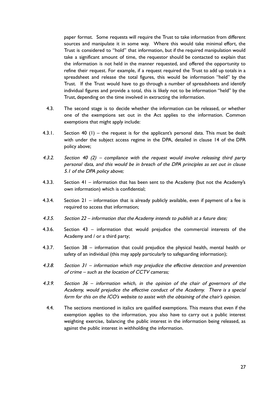paper format. Some requests will require the Trust to take information from different sources and manipulate it in some way. Where this would take minimal effort, the Trust is considered to "hold" that information, but if the required manipulation would take a significant amount of time, the requestor should be contacted to explain that the information is not held in the manner requested, and offered the opportunity to refine their request. For example, if a request required the Trust to add up totals in a spreadsheet and release the total figures, this would be information "held" by the Trust. If the Trust would have to go through a number of spreadsheets and identify individual figures and provide a total, this is likely not to be information "held" by the Trust, depending on the time involved in extracting the information.

- 4.3. The second stage is to decide whether the information can be released, or whether one of the exemptions set out in the Act applies to the information. Common exemptions that might apply include:
- 4.3.1. Section 40 (1) the request is for the applicant's personal data. This must be dealt with under the subject access regime in the DPA, detailed in clause 14 of the DPA policy above;
- 4.3.2. Section 40 (2) compliance with the request would involve releasing third party personal data, and this would be in breach of the DPA principles as set out in clause 5.1 of the DPA policy above;
- 4.3.3. Section 41 information that has been sent to the Academy (but not the Academy's own information) which is confidential;
- 4.3.4. Section 21 information that is already publicly available, even if payment of a fee is required to access that information;
- 4.3.5. Section 22 information that the Academy intends to publish at <sup>a</sup> future date;
- 4.3.6. Section 43 information that would prejudice the commercial interests of the Academy and / or a third party;
- 4.3.7. Section 38 information that could prejudice the physical health, mental health or safety of an individual (this may apply particularly to safeguarding information);
- 4.3.8. Section 31 information which may prejudice the effective detection and prevention of crime – such as the location of CCTV cameras;
- 4.3.9. Section 36 information which, in the opinion of the chair of governors of the Academy, would prejudice the effective conduct of the Academy. There is <sup>a</sup> special form for this on the ICO's website to assist with the obtaining of the chair's opinion.
- 4.4. The sections mentioned in italics are qualified exemptions. This means that even if the exemption applies to the information, you also have to carry out a public interest weighting exercise, balancing the public interest in the information being released, as against the public interest in withholding the information.